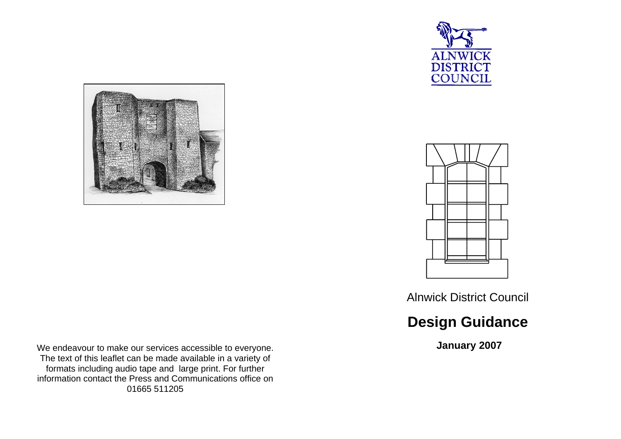



We endeavour to make our services accessible to everyone. The text of this leaflet can be made available in a variety of formats including audio tape and large print. For further information contact the Press and Communications office on 01665 511205



Alnwick District Council

# **Design Guidance**

 **January 2007**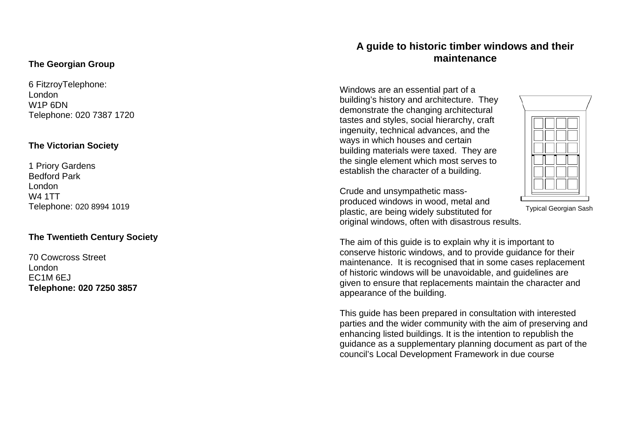## **The Georgian Group**

6 FitzroyTelephone: London W1P 6DN Telephone: 020 7387 1720

### **The Victorian Society**

1 Priory Gardens Bedford Park London W4 1TT Telephone: 020 8994 1019

## **The Twentieth Century Society**

70 Cowcross Street London EC1M 6EJ **Telephone: 020 7250 3857** 

## **A guide to historic timber windows and their maintenance**

Windows are an essential part of a building's history and architecture. They demonstrate the changing architectural tastes and styles, social hierarchy, craft ingenuity, technical advances, and the ways in which houses and certain building materials were taxed. They are the single element which most serves to establish the character of a building.

Crude and unsympathetic massproduced windows in wood, metal and plastic, are being widely substituted for original windows, often with disastrous results.



Typical Georgian Sash

The aim of this guide is to explain why it is important to conserve historic windows, and to provide guidance for their maintenance. It is recognised that in some cases replacement of historic windows will be unavoidable, and guidelines are given to ensure that replacements maintain the character and appearance of the building.

This guide has been prepared in consultation with interested parties and the wider community with the aim of preserving and enhancing listed buildings. It is the intention to republish the guidance as a supplementary planning document as part of the council's Local Development Framework in due course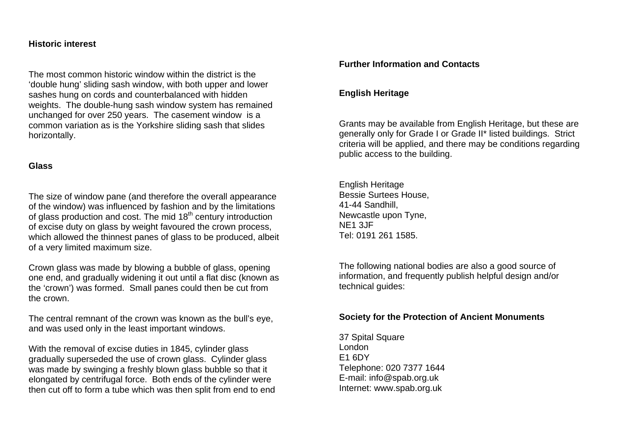#### **Historic interest**

The most common historic window within the district is the 'double hung' sliding sash window, with both upper and lower sashes hung on cords and counterbalanced with hidden weights. The double-hung sash window system has remained unchanged for over 250 years. The casement window is a common variation as is the Yorkshire sliding sash that slides horizontally.

### **Glass**

The size of window pane (and therefore the overall appearance of the window) was influenced by fashion and by the limitations of glass production and cost. The mid  $18<sup>th</sup>$  century introduction of excise duty on glass by weight favoured the crown process, which allowed the thinnest panes of glass to be produced, albeit of a very limited maximum size.

Crown glass was made by blowing a bubble of glass, opening one end, and gradually widening it out until a flat disc (known as the 'crown') was formed. Small panes could then be cut from the crown.

The central remnant of the crown was known as the bull's eye, and was used only in the least important windows.

With the removal of excise duties in 1845, cylinder glass gradually superseded the use of crown glass. Cylinder glass was made by swinging a freshly blown glass bubble so that it elongated by centrifugal force. Both ends of the cylinder were then cut off to form a tube which was then split from end to end

## **Further Information and Contacts**

## **English Heritage**

Grants may be available from English Heritage, but these are generally only for Grade I or Grade II\* listed buildings. Strict criteria will be applied, and there may be conditions regarding public access to the building.

English Heritage Bessie Surtees House, 41-44 Sandhill, Newcastle upon Tyne, NE1 3JF Tel: 0191 261 1585.

The following national bodies are also a good source of information, and frequently publish helpful design and/or technical guides:

### **Society for the Protection of Ancient Monuments**

37 Spital Square London E1 6DY Telephone: 020 7377 1644 E-mail: info@spab.org.uk Internet: www.spab.org.uk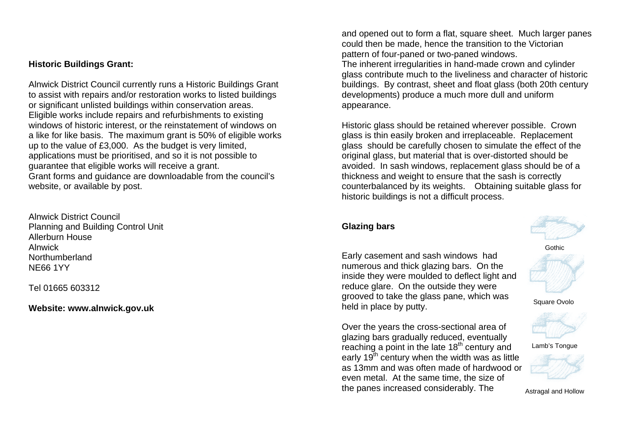## **Historic Buildings Grant:**

Alnwick District Council currently runs a Historic Buildings Grant to assist with repairs and/or restoration works to listed buildings or significant unlisted buildings within conservation areas. Eligible works include repairs and refurbishments to existing windows of historic interest, or the reinstatement of windows on a like for like basis. The maximum grant is 50% of eligible works up to the value of £3,000. As the budget is very limited, applications must be prioritised, and so it is not possible to guarantee that eligible works will receive a grant. Grant forms and guidance are downloadable from the council's website, or available by post.

Alnwick District Council Planning and Building Control Unit Allerburn House Alnwick Northumberland NE66 1YY

Tel 01665 603312

### **Website: www.alnwick.gov.uk**

and opened out to form a flat, square sheet. Much larger panes could then be made, hence the transition to the Victorian pattern of four-paned or two-paned windows.

The inherent irregularities in hand-made crown and cylinder glass contribute much to the liveliness and character of historic buildings. By contrast, sheet and float glass (both 20th century developments) produce a much more dull and uniform appearance.

Historic glass should be retained wherever possible. Crown glass is thin easily broken and irreplaceable. Replacement glass should be carefully chosen to simulate the effect of the original glass, but material that is over-distorted should be avoided. In sash windows, replacement glass should be of a thickness and weight to ensure that the sash is correctly counterbalanced by its weights. Obtaining suitable glass for historic buildings is not a difficult process.

## **Glazing bars**

Early casement and sash windows had numerous and thick glazing bars. On the inside they were moulded to deflect light and reduce glare. On the outside they were grooved to take the glass pane, which was held in place by putty.

Over the years the cross-sectional area of glazing bars gradually reduced, eventually reaching a point in the late 18<sup>th</sup> century and early  $19<sup>th</sup>$  century when the width was as little as 13mm and was often made of hardwood or even metal. At the same time, the size of the panes increased considerably. The



**Gothic** 



Square Ovolo



Lamb's Tongue



Astragal and Hollow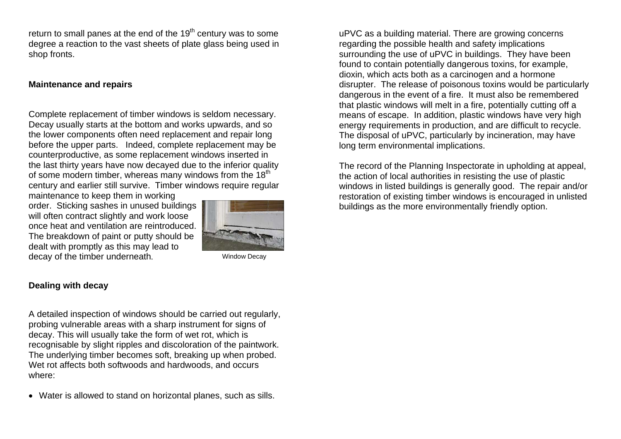return to small panes at the end of the  $19<sup>th</sup>$  century was to some degree a reaction to the vast sheets of plate glass being used in shop fronts.

#### **Maintenance and repairs**

Complete replacement of timber windows is seldom necessary. Decay usually starts at the bottom and works upwards, and so the lower components often need replacement and repair long before the upper parts. Indeed, complete replacement may be counterproductive, as some replacement windows inserted in the last thirty years have now decayed due to the inferior quality of some modern timber, whereas many windows from the  $18<sup>th</sup>$ century and earlier still survive. Timber windows require regular

maintenance to keep them in working order. Sticking sashes in unused buildings will often contract slightly and work loose once heat and ventilation are reintroduced. The breakdown of paint or putty should be dealt with promptly as this may lead to decay of the timber underneath.



Window Decay

#### **Dealing with decay**

A detailed inspection of windows should be carried out regularly, probing vulnerable areas with a sharp instrument for signs of decay. This will usually take the form of wet rot, which is recognisable by slight ripples and discoloration of the paintwork. The underlying timber becomes soft, breaking up when probed. Wet rot affects both softwoods and hardwoods, and occurs where:

• Water is allowed to stand on horizontal planes, such as sills.

uPVC as a building material. There are growing concerns regarding the possible health and safety implications surrounding the use of uPVC in buildings. They have been found to contain potentially dangerous toxins, for example, dioxin, which acts both as a carcinogen and a hormone disrupter. The release of poisonous toxins would be particularly dangerous in the event of a fire. It must also be remembered that plastic windows will melt in a fire, potentially cutting off a means of escape. In addition, plastic windows have very high energy requirements in production, and are difficult to recycle. The disposal of uPVC, particularly by incineration, may have long term environmental implications.

The record of the Planning Inspectorate in upholding at appeal, the action of local authorities in resisting the use of plastic windows in listed buildings is generally good. The repair and/or restoration of existing timber windows is encouraged in unlisted buildings as the more environmentally friendly option.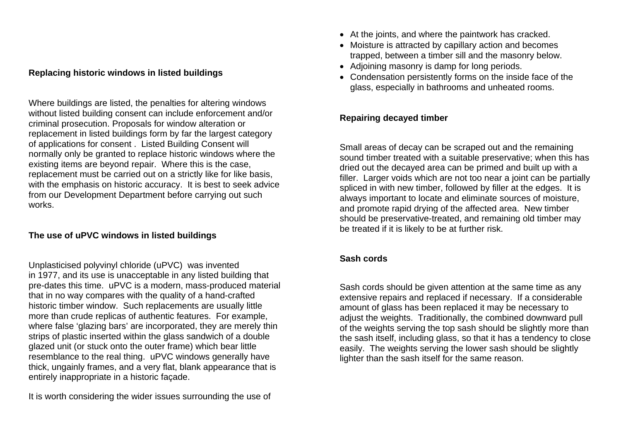### **Replacing historic windows in listed buildings**

Where buildings are listed, the penalties for altering windows without listed building consent can include enforcement and/or criminal prosecution. Proposals for window alteration or replacement in listed buildings form by far the largest category of applications for consent . Listed Building Consent will normally only be granted to replace historic windows where the existing items are beyond repair. Where this is the case, replacement must be carried out on a strictly like for like basis, with the emphasis on historic accuracy. It is best to seek advice from our Development Department before carrying out such works.

### **The use of uPVC windows in listed buildings**

Unplasticised polyvinyl chloride (uPVC) was invented in 1977, and its use is unacceptable in any listed building that pre-dates this time. uPVC is a modern, mass-produced material that in no way compares with the quality of a hand-crafted historic timber window. Such replacements are usually little more than crude replicas of authentic features. For example, where false 'glazing bars' are incorporated, they are merely thin strips of plastic inserted within the glass sandwich of a double glazed unit (or stuck onto the outer frame) which bear little resemblance to the real thing. uPVC windows generally have thick, ungainly frames, and a very flat, blank appearance that is entirely inappropriate in a historic façade.

It is worth considering the wider issues surrounding the use of

- At the joints, and where the paintwork has cracked.
- Moisture is attracted by capillary action and becomes trapped, between a timber sill and the masonry below.
- Adioining masonry is damp for long periods.
- Condensation persistently forms on the inside face of the glass, especially in bathrooms and unheated rooms.

## **Repairing decayed timber**

Small areas of decay can be scraped out and the remaining sound timber treated with a suitable preservative; when this has dried out the decayed area can be primed and built up with a filler. Larger voids which are not too near a joint can be partially spliced in with new timber, followed by filler at the edges. It is always important to locate and eliminate sources of moisture, and promote rapid drying of the affected area. New timber should be preservative-treated, and remaining old timber may be treated if it is likely to be at further risk.

#### **Sash cords**

Sash cords should be given attention at the same time as any extensive repairs and replaced if necessary. If a considerable amount of glass has been replaced it may be necessary to adjust the weights. Traditionally, the combined downward pull of the weights serving the top sash should be slightly more than the sash itself, including glass, so that it has a tendency to close easily. The weights serving the lower sash should be slightly lighter than the sash itself for the same reason.